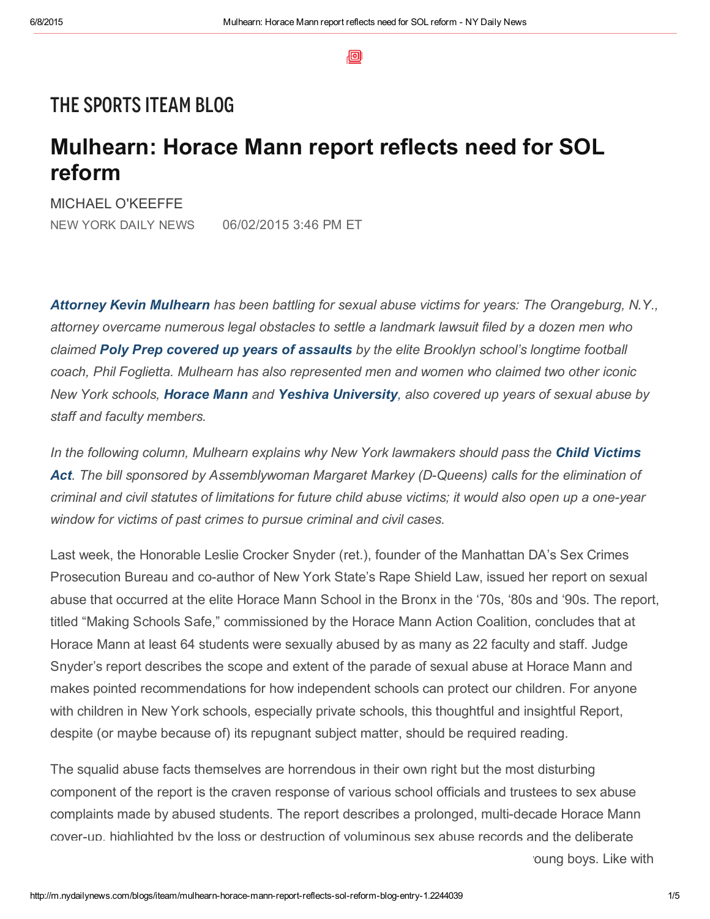回

## THE SPORTS ITEAM BLOG

## Mulhearn: Horace Mann report reflects need for SOL reform

MICHAEL O'KEEFFE

NEW YORK DAILY NEWS 06/02/2015 3:46 PM ET

*Attorney Kevin [Mulhearn](http://www.nydailynews.com/sports/i-team/win-poly-prep-attorney-vows-fight-sex-abuse-victims-article-1.1238948) has been battling for sexual abuse victims for years: The Orangeburg, N.Y., attorney overcame numerous legal obstacles to settle a landmark lawsuit filed by a dozen men who claimed Poly Prep covered up years of [assaults](http://www.nydailynews.com/sports/i-team/poly-prep-settles-sex-abuse-suit-article-1.1227827) by the elite Brooklyn school's longtime football coach, Phil Foglietta. Mulhearn has also represented men and women who claimed two other iconic New York schools, [Horace](http://www.nydailynews.com/blogs/iteam/horace-mann-promises-fails-deliver-blog-entry-1.1845408) Mann and Yeshiva [University,](http://www.nydailynews.com/sports/i-team/lawyer-sexual-abuse-victims-blasts-appeals-panel-yeshiva-case-article-1.1933414) also covered up years of sexual abuse by staff and faculty members.*

*In the following column, Mulhearn explains why New York lawmakers should pass the Child Victims Act.* The *bill* sponsored by [Assemblywoman](http://www.nydailynews.com/sports/more-sports/farrell-join-sex-abuse-victims-albany-article-1.2192258) Margaret Markey (D-Queens) calls for the elimination of criminal and civil statutes of limitations for future child abuse victims; it would also open up a one-year *window for victims of past crimes to pursue criminal and civil cases.*

Last week, the Honorable Leslie Crocker Snyder (ret.), founder of the Manhattan DA's Sex Crimes Prosecution Bureau and co-author of New York State's Rape Shield Law, issued her report on sexual abuse that occurred at the elite Horace Mann School in the Bronx in the '70s, '80s and '90s. The report, titled "Making Schools Safe," commissioned by the Horace Mann Action Coalition, concludes that at Horace Mann at least 64 students were sexually abused by as many as 22 faculty and staff. Judge Snyder's report describes the scope and extent of the parade of sexual abuse at Horace Mann and makes pointed recommendations for how independent schools can protect our children. For anyone with children in New York schools, especially private schools, this thoughtful and insightful Report, despite (or maybe because of) its repugnant subject matter, should be required reading.

The squalid abuse facts themselves are horrendous in their own right but the most disturbing component of the report is the craven response of various school officials and trustees to sex abuse complaints made by abused students. The report describes a prolonged, multi-decade Horace Mann cover-up, highlighted by the loss or destruction of voluminous sex abuse records and the deliberate

oung boys. Like with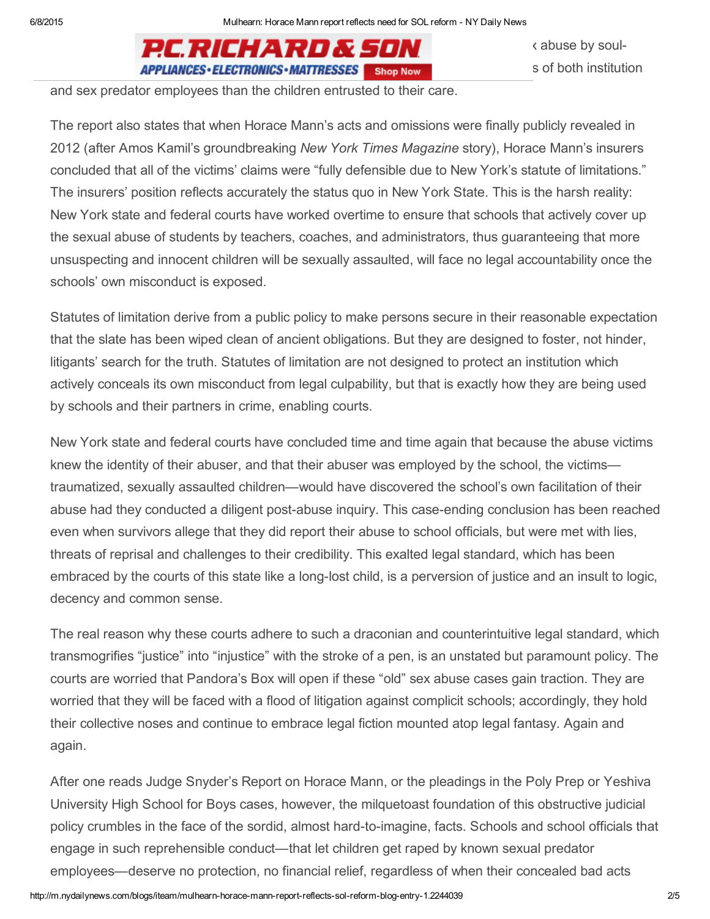$P.C.RICHARD & SDN$  abuse by soul-**APPLIANCES ELECTRONICS MATTRESSES** shop Now sof both institution

and sex predator employees than the children entrusted to their care.

The report also states that when Horace Mann's acts and omissions were finally publicly revealed in 2012 (after Amos Kamil's groundbreaking *New York Times Magazine* story), Horace Mann's insurers concluded that all of the victims' claims were "fully defensible due to New York's statute of limitations." The insurers' position reflects accurately the status quo in New York State. This is the harsh reality: New York state and federal courts have worked overtime to ensure that schools that actively cover up the sexual abuse of students by teachers, coaches, and administrators, thus guaranteeing that more unsuspecting and innocent children will be sexually assaulted, will face no legal accountability once the schools' own misconduct is exposed.

Statutes of limitation derive from a public policy to make persons secure in their reasonable expectation that the slate has been wiped clean of ancient obligations. But they are designed to foster, not hinder, litigants' search for the truth. Statutes of limitation are not designed to protect an institution which actively conceals its own misconduct from legal culpability, but that is exactly how they are being used by schools and their partners in crime, enabling courts.

New York state and federal courts have concluded time and time again that because the abuse victims knew the identity of their abuser, and that their abuser was employed by the school, the victims traumatized, sexually assaulted children—would have discovered the school's own facilitation of their abuse had they conducted a diligent post-abuse inquiry. This case-ending conclusion has been reached even when survivors allege that they did report their abuse to school officials, but were met with lies, threats of reprisal and challenges to their credibility. This exalted legal standard, which has been embraced by the courts of this state like a long-lost child, is a perversion of justice and an insult to logic, decency and common sense.

The real reason why these courts adhere to such a draconian and counterintuitive legal standard, which transmogrifies "justice" into "injustice" with the stroke of a pen, is an unstated but paramount policy. The courts are worried that Pandora's Box will open if these "old" sex abuse cases gain traction. They are worried that they will be faced with a flood of litigation against complicit schools; accordingly, they hold their collective noses and continue to embrace legal fiction mounted atop legal fantasy. Again and again.

After one reads Judge Snyder's Report on Horace Mann, or the pleadings in the Poly Prep or Yeshiva University High School for Boys cases, however, the milquetoast foundation of this obstructive judicial policy crumbles in the face of the sordid, almost hard-to-imagine, facts. Schools and school officials that engage in such reprehensible conduct—that let children get raped by known sexual predator employees—deserve no protection, no financial relief, regardless of when their concealed bad acts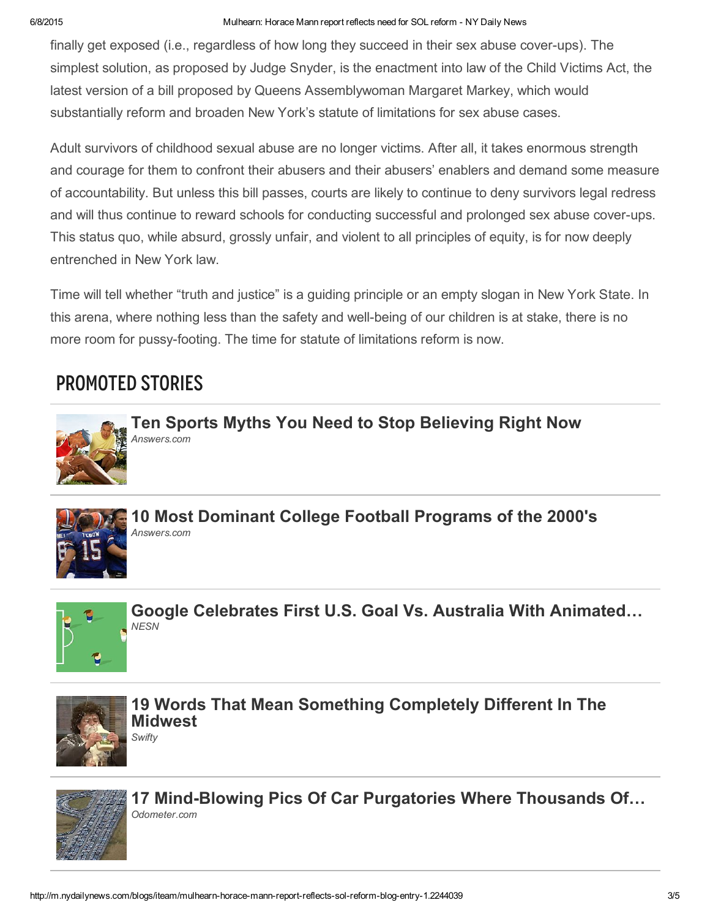#### 6/8/2015 Mulhearn: Horace Mann report reflects need for SOL reform NY Daily News

finally get exposed (i.e., regardless of how long they succeed in their sex abuse cover-ups). The simplest solution, as proposed by Judge Snyder, is the enactment into law of the Child Victims Act, the latest version of a bill proposed by Queens Assemblywoman Margaret Markey, which would substantially reform and broaden New York's statute of limitations for sex abuse cases.

Adult survivors of childhood sexual abuse are no longer victims. After all, it takes enormous strength and courage for them to confront their abusers and their abusers' enablers and demand some measure of accountability. But unless this bill passes, courts are likely to continue to deny survivors legal redress and will thus continue to reward schools for conducting successful and prolonged sex abuse cover-ups. This status quo, while absurd, grossly unfair, and violent to all principles of equity, is for now deeply entrenched in New York law.

Time will tell whether "truth and justice" is a guiding principle or an empty slogan in New York State. In this arena, where nothing less than the safety and well-being of our children is at stake, there is no more room for pussy-footing. The time for statute of limitations reform is now.

# Promoted Stories



Ten Sports Myths You Need to Stop [Believing](http://www.answers.com/browse/click.php?source=ob¶m4=ob-us-de-sports¶m2=1069611¶m3=www.answers.com%2Farticle%2F1197322%2Ften-sports-myths-you-need-to-stop-believing-right-now¶m5=007c27d55fdba2c5414a1d32cb4ce8e322¶m6=jp-20150608¶m4=ob-us-de-sports) Right Now *Answers.com*



10 Most Dominant College Football [Programs](http://www.answers.com/browse/click.php?source=ob¶m4=ob-us-de-sports¶m2=2504131¶m3=www.answers.com%2Farticle%2F1182552%2F10-most-dominant-college-football-programs-of-the-2000-s¶m5=007c27d55fdba2c5414a1d32cb4ce8e322¶m6=jp-20150608¶m4=ob-us-de-sports) of the 2000's *Answers.com*



Google Celebrates First U.S. Goal Vs. Australia With [Animated…](http://nesn.com/2015/06/google-celebrates-first-us-goal-vs-australia-with-animated-doodle-gif/) *NESN*



19 Words That Mean Something [Completely](http://go.swifty.com/click.php?frm=otb&loc=www.swifty.com/destinations/8417/19-words-that-mean-something-completely-different-in-the-midwest&trav=8417-ob-de-150512) Different In The Midwest *Swifty*



17 Mind-Blowing Pics Of Car Purgatories Where Thousands Of… *Odometer.com*